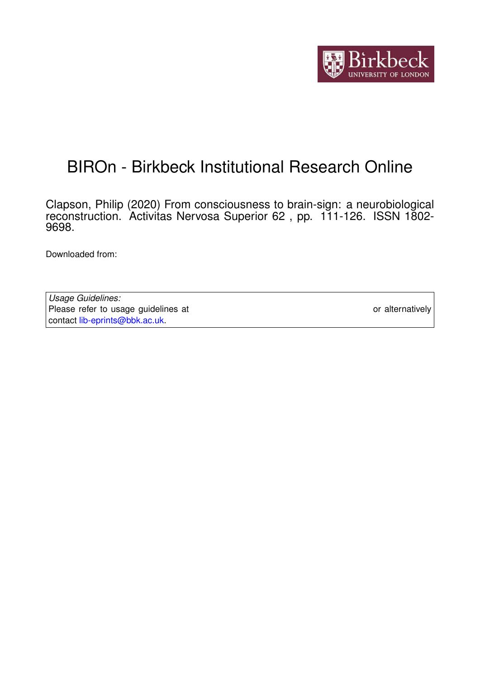

# BIROn - Birkbeck Institutional Research Online

Clapson, Philip (2020) From consciousness to brain-sign: a neurobiological reconstruction. Activitas Nervosa Superior 62 , pp. 111-126. ISSN 1802- 9698.

Downloaded from: <https://eprints.bbk.ac.uk/id/eprint/40954/>

*Usage Guidelines:* Please refer to usage guidelines at <https://eprints.bbk.ac.uk/policies.html> or alternatively contact [lib-eprints@bbk.ac.uk.](mailto:lib-eprints@bbk.ac.uk)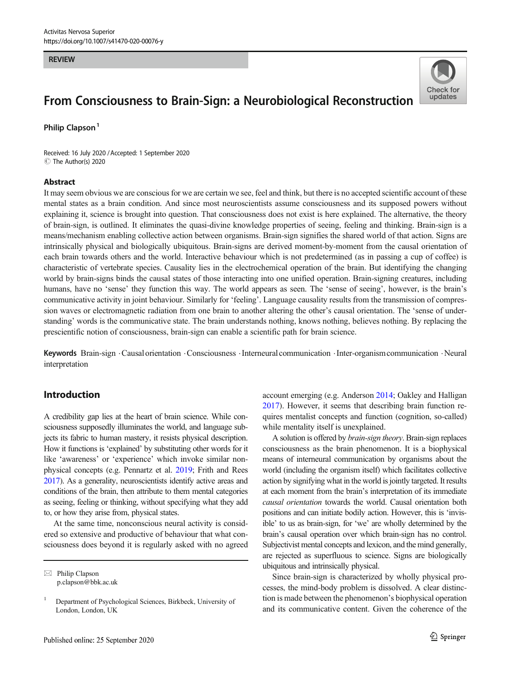#### **REVIEW**

# From Consciousness to Brain-Sign: a Neurobiological Reconstruction



Philip Clapson<sup>1</sup>

Received: 16 July 2020 /Accepted: 1 September 2020  $\circledcirc$  The Author(s) 2020

# Abstract

It may seem obvious we are conscious for we are certain we see, feel and think, but there is no accepted scientific account of these mental states as a brain condition. And since most neuroscientists assume consciousness and its supposed powers without explaining it, science is brought into question. That consciousness does not exist is here explained. The alternative, the theory of brain-sign, is outlined. It eliminates the quasi-divine knowledge properties of seeing, feeling and thinking. Brain-sign is a means/mechanism enabling collective action between organisms. Brain-sign signifies the shared world of that action. Signs are intrinsically physical and biologically ubiquitous. Brain-signs are derived moment-by-moment from the causal orientation of each brain towards others and the world. Interactive behaviour which is not predetermined (as in passing a cup of coffee) is characteristic of vertebrate species. Causality lies in the electrochemical operation of the brain. But identifying the changing world by brain-signs binds the causal states of those interacting into one unified operation. Brain-signing creatures, including humans, have no 'sense' they function this way. The world appears as seen. The 'sense of seeing', however, is the brain's communicative activity in joint behaviour. Similarly for 'feeling'. Language causality results from the transmission of compression waves or electromagnetic radiation from one brain to another altering the other's causal orientation. The 'sense of understanding' words is the communicative state. The brain understands nothing, knows nothing, believes nothing. By replacing the prescientific notion of consciousness, brain-sign can enable a scientific path for brain science.

Keywords Brain-sign .Causal orientation .Consciousness .Interneural communication .Inter-organismcommunication .Neural interpretation

# Introduction

A credibility gap lies at the heart of brain science. While consciousness supposedly illuminates the world, and language subjects its fabric to human mastery, it resists physical description. How it functions is 'explained' by substituting other words for it like 'awareness' or 'experience' which invoke similar nonphysical concepts (e.g. Pennartz et al. [2019](#page-16-0); Frith and Rees [2017\)](#page-15-0). As a generality, neuroscientists identify active areas and conditions of the brain, then attribute to them mental categories as seeing, feeling or thinking, without specifying what they add to, or how they arise from, physical states.

At the same time, nonconscious neural activity is considered so extensive and productive of behaviour that what consciousness does beyond it is regularly asked with no agreed account emerging (e.g. Anderson [2014](#page-15-0); Oakley and Halligan [2017\)](#page-16-0). However, it seems that describing brain function requires mentalist concepts and function (cognition, so-called) while mentality itself is unexplained.

A solution is offered by brain-sign theory. Brain-sign replaces consciousness as the brain phenomenon. It is a biophysical means of interneural communication by organisms about the world (including the organism itself) which facilitates collective action by signifying what in the world is jointly targeted. It results at each moment from the brain's interpretation of its immediate causal orientation towards the world. Causal orientation both positions and can initiate bodily action. However, this is 'invisible' to us as brain-sign, for 'we' are wholly determined by the brain's causal operation over which brain-sign has no control. Subjectivist mental concepts and lexicon, and the mind generally, are rejected as superfluous to science. Signs are biologically ubiquitous and intrinsically physical.

Since brain-sign is characterized by wholly physical processes, the mind-body problem is dissolved. A clear distinction is made between the phenomenon's biophysical operation and its communicative content. Given the coherence of the

 $\boxtimes$  Philip Clapson [p.clapson@bbk.ac.uk](mailto:p.clapson@bbk.ac.uk)

<sup>&</sup>lt;sup>1</sup> Department of Psychological Sciences, Birkbeck, University of London, London, UK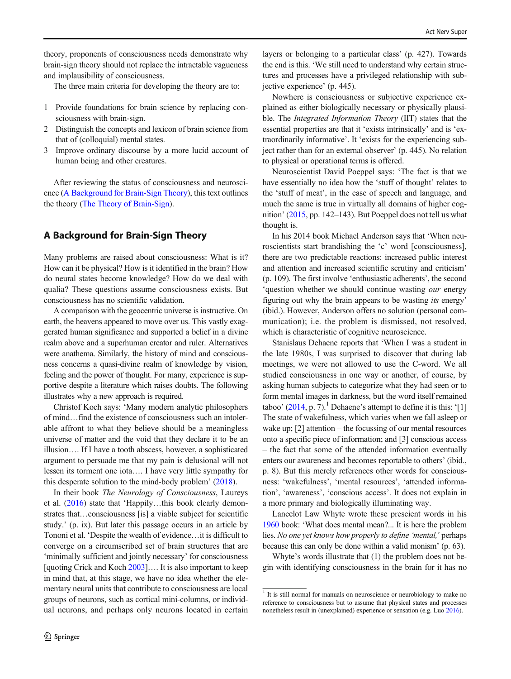theory, proponents of consciousness needs demonstrate why brain-sign theory should not replace the intractable vagueness and implausibility of consciousness.

The three main criteria for developing the theory are to:

- 1 Provide foundations for brain science by replacing consciousness with brain-sign.
- 2 Distinguish the concepts and lexicon of brain science from that of (colloquial) mental states.
- 3 Improve ordinary discourse by a more lucid account of human being and other creatures.

After reviewing the status of consciousness and neuroscience (A Background for Brain-Sign Theory), this text outlines the theory [\(The Theory of Brain-Sign\)](#page-7-0).

# A Background for Brain-Sign Theory

Many problems are raised about consciousness: What is it? How can it be physical? How is it identified in the brain? How do neural states become knowledge? How do we deal with qualia? These questions assume consciousness exists. But consciousness has no scientific validation.

A comparison with the geocentric universe is instructive. On earth, the heavens appeared to move over us. This vastly exaggerated human significance and supported a belief in a divine realm above and a superhuman creator and ruler. Alternatives were anathema. Similarly, the history of mind and consciousness concerns a quasi-divine realm of knowledge by vision, feeling and the power of thought. For many, experience is supportive despite a literature which raises doubts. The following illustrates why a new approach is required.

Christof Koch says: 'Many modern analytic philosophers of mind…find the existence of consciousness such an intolerable affront to what they believe should be a meaningless universe of matter and the void that they declare it to be an illusion…. If I have a tooth abscess, however, a sophisticated argument to persuade me that my pain is delusional will not lessen its torment one iota…. I have very little sympathy for this desperate solution to the mind-body problem' ([2018](#page-15-0)).

In their book The Neurology of Consciousness, Laureys et al. ([2016\)](#page-16-0) state that 'Happily…this book clearly demonstrates that…consciousness [is] a viable subject for scientific study.' (p. ix). But later this passage occurs in an article by Tononi et al. 'Despite the wealth of evidence…it is difficult to converge on a circumscribed set of brain structures that are 'minimally sufficient and jointly necessary' for consciousness [quoting Crick and Koch [2003](#page-15-0)]…. It is also important to keep in mind that, at this stage, we have no idea whether the elementary neural units that contribute to consciousness are local groups of neurons, such as cortical mini-columns, or individual neurons, and perhaps only neurons located in certain

layers or belonging to a particular class' (p. 427). Towards the end is this. 'We still need to understand why certain structures and processes have a privileged relationship with subjective experience' (p. 445).

Nowhere is consciousness or subjective experience explained as either biologically necessary or physically plausible. The Integrated Information Theory (IIT) states that the essential properties are that it 'exists intrinsically' and is 'extraordinarily informative'. It 'exists for the experiencing subject rather than for an external observer' (p. 445). No relation to physical or operational terms is offered.

Neuroscientist David Poeppel says: 'The fact is that we have essentially no idea how the 'stuff of thought' relates to the 'stuff of meat', in the case of speech and language, and much the same is true in virtually all domains of higher cognition' [\(2015](#page-16-0), pp. 142–143). But Poeppel does not tell us what thought is.

In his 2014 book Michael Anderson says that 'When neuroscientists start brandishing the 'c' word [consciousness], there are two predictable reactions: increased public interest and attention and increased scientific scrutiny and criticism' (p. 109). The first involve 'enthusiastic adherents', the second 'question whether we should continue wasting our energy figuring out why the brain appears to be wasting its energy' (ibid.). However, Anderson offers no solution (personal communication); i.e. the problem is dismissed, not resolved, which is characteristic of cognitive neuroscience.

Stanislaus Dehaene reports that 'When I was a student in the late 1980s, I was surprised to discover that during lab meetings, we were not allowed to use the C-word. We all studied consciousness in one way or another, of course, by asking human subjects to categorize what they had seen or to form mental images in darkness, but the word itself remained taboo'  $(2014, p. 7)$  $(2014, p. 7)$ .<sup>1</sup> Dehaene's attempt to define it is this: '[1] The state of wakefulness, which varies when we fall asleep or wake up; [2] attention – the focussing of our mental resources onto a specific piece of information; and [3] conscious access – the fact that some of the attended information eventually enters our awareness and becomes reportable to others' (ibid., p. 8). But this merely references other words for consciousness: 'wakefulness', 'mental resources', 'attended information', 'awareness', 'conscious access'. It does not explain in a more primary and biologically illuminating way.

Lancelot Law Whyte wrote these prescient words in his [1960](#page-16-0) book: 'What does mental mean?... It is here the problem lies. No one yet knows how properly to define 'mental,' perhaps because this can only be done within a valid monism' (p. 63).

Whyte's words illustrate that (1) the problem does not begin with identifying consciousness in the brain for it has no

<sup>&</sup>lt;sup>1</sup> It is still normal for manuals on neuroscience or neurobiology to make no reference to consciousness but to assume that physical states and processes nonetheless result in (unexplained) experience or sensation (e.g. Luo [2016\)](#page-16-0).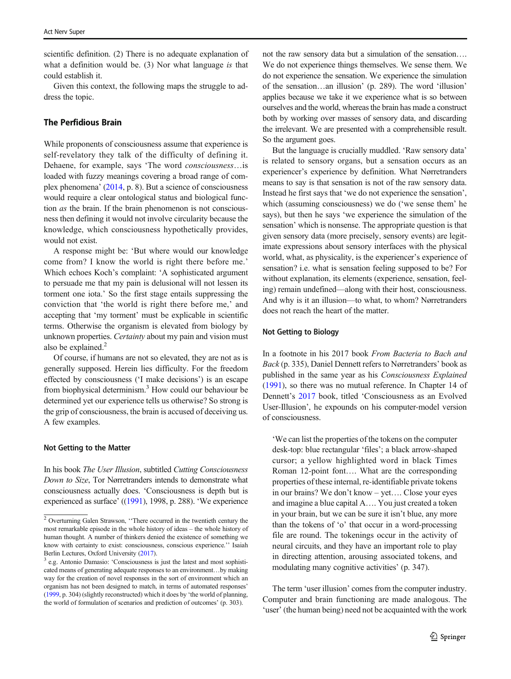scientific definition. (2) There is no adequate explanation of what a definition would be. (3) Nor what language is that could establish it.

Given this context, the following maps the struggle to address the topic.

# The Perfidious Brain

While proponents of consciousness assume that experience is self-revelatory they talk of the difficulty of defining it. Dehaene, for example, says 'The word consciousness…is loaded with fuzzy meanings covering a broad range of complex phenomena' [\(2014](#page-15-0), p. 8). But a science of consciousness would require a clear ontological status and biological function as the brain. If the brain phenomenon is not consciousness then defining it would not involve circularity because the knowledge, which consciousness hypothetically provides, would not exist.

A response might be: 'But where would our knowledge come from? I know the world is right there before me.' Which echoes Koch's complaint: 'A sophisticated argument to persuade me that my pain is delusional will not lessen its torment one iota.' So the first stage entails suppressing the conviction that 'the world is right there before me,' and accepting that 'my torment' must be explicable in scientific terms. Otherwise the organism is elevated from biology by unknown properties. Certainty about my pain and vision must also be explained.<sup>2</sup>

Of course, if humans are not so elevated, they are not as is generally supposed. Herein lies difficulty. For the freedom effected by consciousness ('I make decisions') is an escape from biophysical determinism.<sup>3</sup> How could our behaviour be determined yet our experience tells us otherwise? So strong is the grip of consciousness, the brain is accused of deceiving us. A few examples.

#### Not Getting to the Matter

In his book The User Illusion, subtitled Cutting Consciousness Down to Size, Tor Nørretranders intends to demonstrate what consciousness actually does. 'Consciousness is depth but is experienced as surface' ([\(1991\)](#page-16-0), 1998, p. 288). 'We experience not the raw sensory data but a simulation of the sensation…. We do not experience things themselves. We sense them. We do not experience the sensation. We experience the simulation of the sensation…an illusion' (p. 289). The word 'illusion' applies because we take it we experience what is so between ourselves and the world, whereas the brain has made a construct both by working over masses of sensory data, and discarding the irrelevant. We are presented with a comprehensible result. So the argument goes.

But the language is crucially muddled. 'Raw sensory data' is related to sensory organs, but a sensation occurs as an experiencer's experience by definition. What Nørretranders means to say is that sensation is not of the raw sensory data. Instead he first says that 'we do not experience the sensation', which (assuming consciousness) we do ('we sense them' he says), but then he says 'we experience the simulation of the sensation' which is nonsense. The appropriate question is that given sensory data (more precisely, sensory events) are legitimate expressions about sensory interfaces with the physical world, what, as physicality, is the experiencer's experience of sensation? i.e. what is sensation feeling supposed to be? For without explanation, its elements (experience, sensation, feeling) remain undefined—along with their host, consciousness. And why is it an illusion—to what, to whom? Nørretranders does not reach the heart of the matter.

## Not Getting to Biology

In a footnote in his 2017 book From Bacteria to Bach and Back (p. 335), Daniel Dennett refers to Nørretranders' book as published in the same year as his Consciousness Explained [\(1991\)](#page-15-0), so there was no mutual reference. In Chapter 14 of Dennett's [2017](#page-15-0) book, titled 'Consciousness as an Evolved User-Illusion', he expounds on his computer-model version of consciousness.

'We can list the properties of the tokens on the computer desk-top: blue rectangular 'files'; a black arrow-shaped cursor; a yellow highlighted word in black Times Roman 12-point font…. What are the corresponding properties of these internal, re-identifiable private tokens in our brains? We don't know – yet…. Close your eyes and imagine a blue capital A…. You just created a token in your brain, but we can be sure it isn't blue, any more than the tokens of 'o' that occur in a word-processing file are round. The tokenings occur in the activity of neural circuits, and they have an important role to play in directing attention, arousing associated tokens, and modulating many cognitive activities' (p. 347).

The term 'user illusion' comes from the computer industry. Computer and brain functioning are made analogous. The 'user' (the human being) need not be acquainted with the work

 $\frac{2}{2}$  Overturning Galen Strawson, "There occurred in the twentieth century the most remarkable episode in the whole history of ideas – the whole history of human thought. A number of thinkers denied the existence of something we know with certainty to exist: consciousness, conscious experience.'' Isaiah Berlin Lectures, Oxford University ([2017](#page-16-0)).<br><sup>3</sup> e.g. Antonio Damasio: 'Consciousness is just the latest and most sophisti-

cated means of generating adequate responses to an environment…by making way for the creation of novel responses in the sort of environment which an organism has not been designed to match, in terms of automated responses' ([1999,](#page-15-0) p. 304) (slightly reconstructed) which it does by 'the world of planning, the world of formulation of scenarios and prediction of outcomes' (p. 303).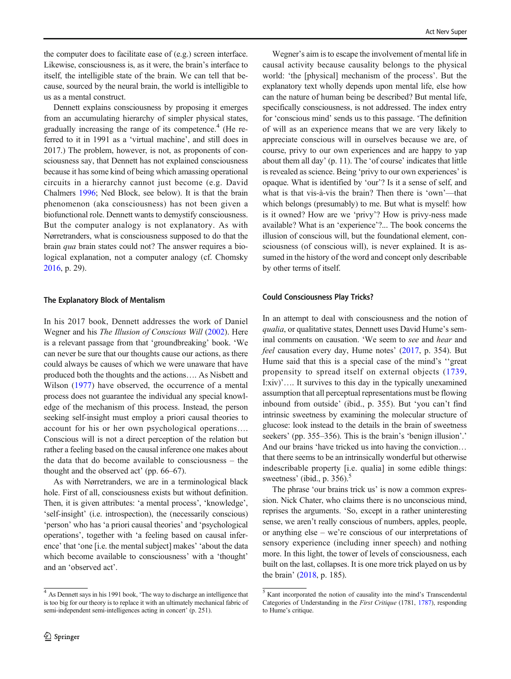the computer does to facilitate ease of (e.g.) screen interface. Likewise, consciousness is, as it were, the brain's interface to itself, the intelligible state of the brain. We can tell that because, sourced by the neural brain, the world is intelligible to us as a mental construct.

Dennett explains consciousness by proposing it emerges from an accumulating hierarchy of simpler physical states, gradually increasing the range of its competence.<sup>4</sup> (He referred to it in 1991 as a 'virtual machine', and still does in 2017.) The problem, however, is not, as proponents of consciousness say, that Dennett has not explained consciousness because it has some kind of being which amassing operational circuits in a hierarchy cannot just become (e.g. David Chalmers [1996](#page-15-0); Ned Block, see below). It is that the brain phenomenon (aka consciousness) has not been given a biofunctional role. Dennett wants to demystify consciousness. But the computer analogy is not explanatory. As with Nørretranders, what is consciousness supposed to do that the brain qua brain states could not? The answer requires a biological explanation, not a computer analogy (cf. Chomsky [2016,](#page-15-0) p. 29).

#### The Explanatory Block of Mentalism

In his 2017 book, Dennett addresses the work of Daniel Wegner and his The Illusion of Conscious Will [\(2002\)](#page-16-0). Here is a relevant passage from that 'groundbreaking' book. 'We can never be sure that our thoughts cause our actions, as there could always be causes of which we were unaware that have produced both the thoughts and the actions…. As Nisbett and Wilson ([1977\)](#page-16-0) have observed, the occurrence of a mental process does not guarantee the individual any special knowledge of the mechanism of this process. Instead, the person seeking self-insight must employ a priori causal theories to account for his or her own psychological operations…. Conscious will is not a direct perception of the relation but rather a feeling based on the causal inference one makes about the data that do become available to consciousness – the thought and the observed act' (pp. 66–67).

As with Nørretranders, we are in a terminological black hole. First of all, consciousness exists but without definition. Then, it is given attributes: 'a mental process', 'knowledge', 'self-insight' (i.e. introspection), the (necessarily conscious) 'person' who has 'a priori causal theories' and 'psychological operations', together with 'a feeling based on causal inference' that 'one [i.e. the mental subject] makes' 'about the data which become available to consciousness' with a 'thought' and an 'observed act'.

Wegner's aim is to escape the involvement of mental life in causal activity because causality belongs to the physical world: 'the [physical] mechanism of the process'. But the explanatory text wholly depends upon mental life, else how can the nature of human being be described? But mental life, specifically consciousness, is not addressed. The index entry for 'conscious mind' sends us to this passage. 'The definition of will as an experience means that we are very likely to appreciate conscious will in ourselves because we are, of course, privy to our own experiences and are happy to yap about them all day' (p. 11). The 'of course' indicates that little is revealed as science. Being 'privy to our own experiences' is opaque. What is identified by 'our'? Is it a sense of self, and what is that vis-à-vis the brain? Then there is 'own'—that which belongs (presumably) to me. But what is myself: how is it owned? How are we 'privy'? How is privy-ness made available? What is an 'experience'?... The book concerns the illusion of conscious will, but the foundational element, consciousness (of conscious will), is never explained. It is assumed in the history of the word and concept only describable by other terms of itself.

#### Could Consciousness Play Tricks?

In an attempt to deal with consciousness and the notion of qualia, or qualitative states, Dennett uses David Hume's seminal comments on causation. 'We seem to see and hear and feel causation every day, Hume notes' ([2017,](#page-15-0) p. 354). But Hume said that this is a special case of the mind's ''great propensity to spread itself on external objects ([1739,](#page-15-0) I:xiv)'…. It survives to this day in the typically unexamined assumption that all perceptual representations must be flowing inbound from outside' (ibid., p. 355). But 'you can't find intrinsic sweetness by examining the molecular structure of glucose: look instead to the details in the brain of sweetness seekers' (pp. 355–356). This is the brain's 'benign illusion'.' And our brains 'have tricked us into having the conviction… that there seems to be an intrinsically wonderful but otherwise indescribable property [i.e. qualia] in some edible things: sweetness' (ibid., p. 356).<sup>5</sup>

The phrase 'our brains trick us' is now a common expression. Nick Chater, who claims there is no unconscious mind, reprises the arguments. 'So, except in a rather uninteresting sense, we aren't really conscious of numbers, apples, people, or anything else – we're conscious of our interpretations of sensory experience (including inner speech) and nothing more. In this light, the tower of levels of consciousness, each built on the last, collapses. It is one more trick played on us by the brain' [\(2018,](#page-15-0) p. 185).

<sup>4</sup> As Dennett says in his 1991 book, 'The way to discharge an intelligence that is too big for our theory is to replace it with an ultimately mechanical fabric of semi-independent semi-intelligences acting in concert' (p. 251).

<sup>5</sup> Kant incorporated the notion of causality into the mind's Transcendental Categories of Understanding in the First Critique (1781, [1787\)](#page-15-0), responding to Hume's critique.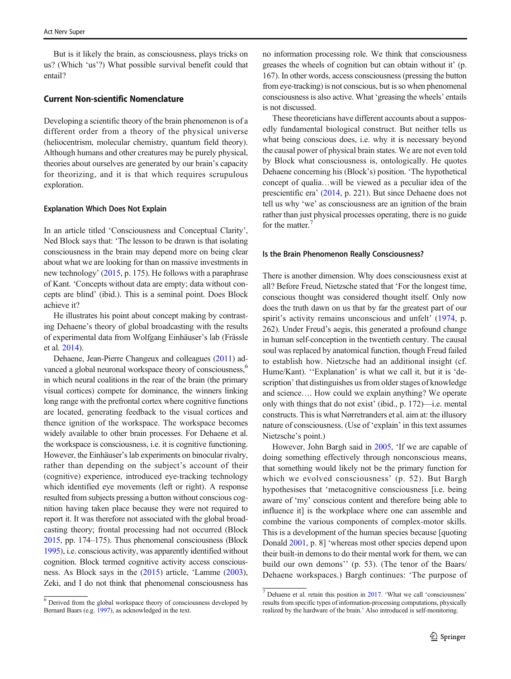<span id="page-5-0"></span>But is it likely the brain, as consciousness, plays tricks on us? (Which 'us'?) What possible survival benefit could that entail?

# Current Non-scientific Nomenclature

Developing a scientific theory of the brain phenomenon is of a different order from a theory of the physical universe (heliocentrism, molecular chemistry, quantum field theory). Although humans and other creatures may be purely physical, theories about ourselves are generated by our brain's capacity for theorizing, and it is that which requires scrupulous exploration.

#### Explanation Which Does Not Explain

In an article titled 'Consciousness and Conceptual Clarity', Ned Block says that: 'The lesson to be drawn is that isolating consciousness in the brain may depend more on being clear about what we are looking for than on massive investments in new technology' [\(2015](#page-15-0), p. 175). He follows with a paraphrase of Kant. 'Concepts without data are empty; data without concepts are blind' (ibid.). This is a seminal point. Does Block achieve it?

He illustrates his point about concept making by contrasting Dehaene's theory of global broadcasting with the results of experimental data from Wolfgang Einhäuser's lab (Frässle et al. [2014](#page-15-0)).

Dehaene, Jean-Pierre Changeux and colleagues [\(2011\)](#page-15-0) advanced a global neuronal workspace theory of consciousness,<sup>6</sup> in which neural coalitions in the rear of the brain (the primary visual cortices) compete for dominance, the winners linking long range with the prefrontal cortex where cognitive functions are located, generating feedback to the visual cortices and thence ignition of the workspace. The workspace becomes widely available to other brain processes. For Dehaene et al. the workspace is consciousness, i.e. it is cognitive functioning. However, the Einhäuser's lab experiments on binocular rivalry, rather than depending on the subject's account of their (cognitive) experience, introduced eye-tracking technology which identified eye movements (left or right). A response resulted from subjects pressing a button without conscious cognition having taken place because they were not required to report it. It was therefore not associated with the global broadcasting theory; frontal processing had not occurred (Block [2015](#page-15-0), pp. 174–175). Thus phenomenal consciousness (Block [1995](#page-15-0)), i.e. conscious activity, was apparently identified without cognition. Block termed cognitive activity access consciousness. As Block says in the ([2015\)](#page-15-0) article, 'Lamme ([2003](#page-15-0)), Zeki, and I do not think that phenomenal consciousness has

no information processing role. We think that consciousness greases the wheels of cognition but can obtain without it' (p. 167). In other words, access consciousness (pressing the button from eye-tracking) is not conscious, but is so when phenomenal consciousness is also active. What 'greasing the wheels' entails is not discussed.

These theoreticians have different accounts about a supposedly fundamental biological construct. But neither tells us what being conscious does, i.e. why it is necessary beyond the causal power of physical brain states. We are not even told by Block what consciousness is, ontologically. He quotes Dehaene concerning his (Block's) position. 'The hypothetical concept of qualia…will be viewed as a peculiar idea of the prescientific era' [\(2014,](#page-15-0) p. 221). But since Dehaene does not tell us why 'we' as consciousness are an ignition of the brain rather than just physical processes operating, there is no guide for the matter.<sup>7</sup>

#### Is the Brain Phenomenon Really Consciousness?

There is another dimension. Why does consciousness exist at all? Before Freud, Nietzsche stated that 'For the longest time, conscious thought was considered thought itself. Only now does the truth dawn on us that by far the greatest part of our spirit's activity remains unconscious and unfelt' [\(1974](#page-16-0), p. 262). Under Freud's aegis, this generated a profound change in human self-conception in the twentieth century. The causal soul was replaced by anatomical function, though Freud failed to establish how. Nietzsche had an additional insight (cf. Hume/Kant). "Explanation' is what we call it, but it is 'description' that distinguishes us from older stages of knowledge and science…. How could we explain anything? We operate only with things that do not exist' (ibid., p. 172)—i.e. mental constructs. This is what Nørretranders et al. aim at: the illusory nature of consciousness. (Use of 'explain' in this text assumes Nietzsche's point.)

However, John Bargh said in [2005](#page-15-0), 'If we are capable of doing something effectively through nonconscious means, that something would likely not be the primary function for which we evolved consciousness' (p. 52). But Bargh hypothesises that 'metacognitive consciousness [i.e. being aware of 'my' conscious content and therefore being able to influence it] is the workplace where one can assemble and combine the various components of complex-motor skills. This is a development of the human species because [quoting Donald [2001,](#page-15-0) p. 8] 'whereas most other species depend upon their built-in demons to do their mental work for them, we can build our own demons'' (p. 53). (The tenor of the Baars/ Dehaene workspaces.) Bargh continues: 'The purpose of

<sup>6</sup> Derived from the global workspace theory of consciousness developed by Bernard Baars (e.g. [1997](#page-15-0)), as acknowledged in the text.

 $<sup>7</sup>$  Dehaene et al. retain this position in [2017](#page-15-0). 'What we call 'consciousness'</sup> results from specific types of information-processing computations, physically realized by the hardware of the brain.' Also introduced is self-monitoring.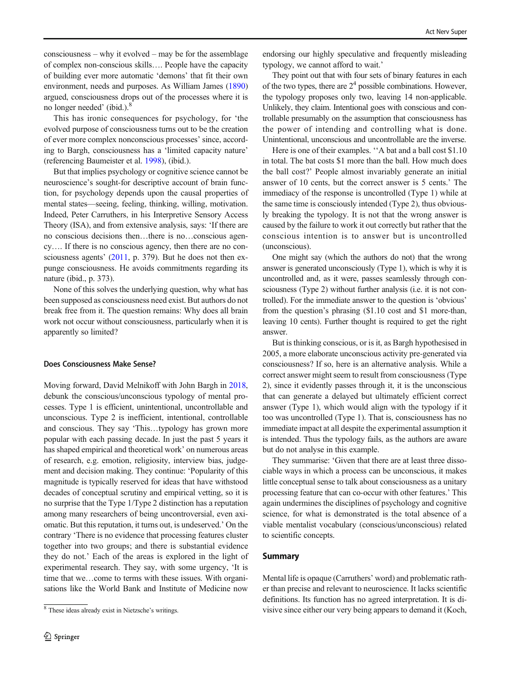<span id="page-6-0"></span>consciousness – why it evolved – may be for the assemblage of complex non-conscious skills…. People have the capacity of building ever more automatic 'demons' that fit their own environment, needs and purposes. As William James [\(1890\)](#page-15-0) argued, consciousness drops out of the processes where it is no longer needed' (ibid.).<sup>8</sup>

This has ironic consequences for psychology, for 'the evolved purpose of consciousness turns out to be the creation of ever more complex nonconscious processes' since, according to Bargh, consciousness has a 'limited capacity nature' (referencing Baumeister et al. [1998](#page-15-0)), (ibid.).

But that implies psychology or cognitive science cannot be neuroscience's sought-for descriptive account of brain function, for psychology depends upon the causal properties of mental states—seeing, feeling, thinking, willing, motivation. Indeed, Peter Carruthers, in his Interpretive Sensory Access Theory (ISA), and from extensive analysis, says: 'If there are no conscious decisions then…there is no…conscious agency…. If there is no conscious agency, then there are no con-sciousness agents' ([2011](#page-15-0), p. 379). But he does not then expunge consciousness. He avoids commitments regarding its nature (ibid., p. 373).

None of this solves the underlying question, why what has been supposed as consciousness need exist. But authors do not break free from it. The question remains: Why does all brain work not occur without consciousness, particularly when it is apparently so limited?

#### Does Consciousness Make Sense?

Moving forward, David Melnikoff with John Bargh in [2018,](#page-16-0) debunk the conscious/unconscious typology of mental processes. Type 1 is efficient, unintentional, uncontrollable and unconscious. Type 2 is inefficient, intentional, controllable and conscious. They say 'This…typology has grown more popular with each passing decade. In just the past 5 years it has shaped empirical and theoretical work' on numerous areas of research, e.g. emotion, religiosity, interview bias, judgement and decision making. They continue: 'Popularity of this magnitude is typically reserved for ideas that have withstood decades of conceptual scrutiny and empirical vetting, so it is no surprise that the Type 1/Type 2 distinction has a reputation among many researchers of being uncontroversial, even axiomatic. But this reputation, it turns out, is undeserved.' On the contrary 'There is no evidence that processing features cluster together into two groups; and there is substantial evidence they do not.' Each of the areas is explored in the light of experimental research. They say, with some urgency, 'It is time that we…come to terms with these issues. With organisations like the World Bank and Institute of Medicine now

endorsing our highly speculative and frequently misleading typology, we cannot afford to wait.'

They point out that with four sets of binary features in each of the two types, there are  $2<sup>4</sup>$  possible combinations. However, the typology proposes only two, leaving 14 non-applicable. Unlikely, they claim. Intentional goes with conscious and controllable presumably on the assumption that consciousness has the power of intending and controlling what is done. Unintentional, unconscious and uncontrollable are the inverse.

Here is one of their examples. ''A bat and a ball cost \$1.10 in total. The bat costs \$1 more than the ball. How much does the ball cost?' People almost invariably generate an initial answer of 10 cents, but the correct answer is 5 cents.' The immediacy of the response is uncontrolled (Type 1) while at the same time is consciously intended (Type 2), thus obviously breaking the typology. It is not that the wrong answer is caused by the failure to work it out correctly but rather that the conscious intention is to answer but is uncontrolled (unconscious).

One might say (which the authors do not) that the wrong answer is generated unconsciously (Type 1), which is why it is uncontrolled and, as it were, passes seamlessly through consciousness (Type 2) without further analysis (i.e. it is not controlled). For the immediate answer to the question is 'obvious' from the question's phrasing (\$1.10 cost and \$1 more-than, leaving 10 cents). Further thought is required to get the right answer.

But is thinking conscious, or is it, as Bargh hypothesised in 2005, a more elaborate unconscious activity pre-generated via consciousness? If so, here is an alternative analysis. While a correct answer might seem to result from consciousness (Type 2), since it evidently passes through it, it is the unconscious that can generate a delayed but ultimately efficient correct answer (Type 1), which would align with the typology if it too was uncontrolled (Type 1). That is, consciousness has no immediate impact at all despite the experimental assumption it is intended. Thus the typology fails, as the authors are aware but do not analyse in this example.

They summarise: 'Given that there are at least three dissociable ways in which a process can be unconscious, it makes little conceptual sense to talk about consciousness as a unitary processing feature that can co-occur with other features.' This again undermines the disciplines of psychology and cognitive science, for what is demonstrated is the total absence of a viable mentalist vocabulary (conscious/unconscious) related to scientific concepts.

# Summary

Mental life is opaque (Carruthers' word) and problematic rather than precise and relevant to neuroscience. It lacks scientific definitions. Its function has no agreed interpretation. It is di-<sup>8</sup> These ideas already exist in Nietzsche's writings. visive since either our very being appears to demand it (Koch,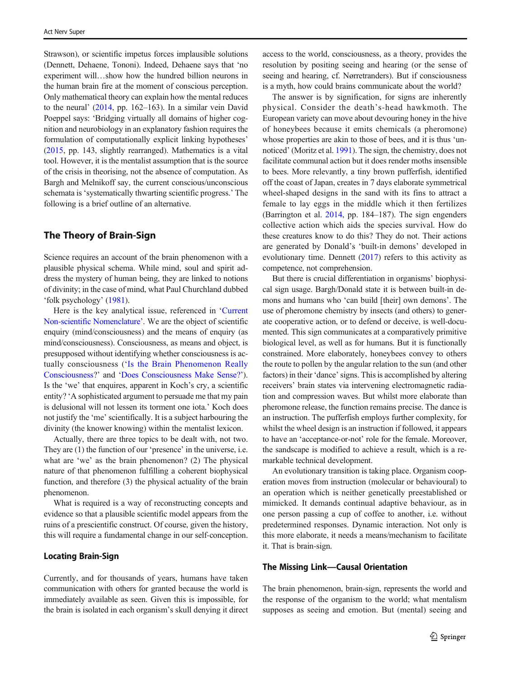<span id="page-7-0"></span>Strawson), or scientific impetus forces implausible solutions (Dennett, Dehaene, Tononi). Indeed, Dehaene says that 'no experiment will…show how the hundred billion neurons in the human brain fire at the moment of conscious perception. Only mathematical theory can explain how the mental reduces to the neural' [\(2014,](#page-15-0) pp. 162–163). In a similar vein David Poeppel says: 'Bridging virtually all domains of higher cognition and neurobiology in an explanatory fashion requires the formulation of computationally explicit linking hypotheses' [\(2015,](#page-16-0) pp. 143, slightly rearranged). Mathematics is a vital tool. However, it is the mentalist assumption that is the source of the crisis in theorising, not the absence of computation. As Bargh and Melnikoff say, the current conscious/unconscious schemata is 'systematically thwarting scientific progress.' The following is a brief outline of an alternative.

# The Theory of Brain-Sign

Science requires an account of the brain phenomenon with a plausible physical schema. While mind, soul and spirit address the mystery of human being, they are linked to notions of divinity; in the case of mind, what Paul Churchland dubbed 'folk psychology' [\(1981\)](#page-15-0).

Here is the key analytical issue, referenced in '[Current](#page-5-0) [Non-scientific Nomenclature](#page-5-0)'. We are the object of scientific enquiry (mind/consciousness) and the means of enquiry (as mind/consciousness). Consciousness, as means and object, is presupposed without identifying whether consciousness is actually consciousness ('[Is the Brain Phenomenon Really](#page-5-0) [Consciousness?](#page-5-0)' and '[Does Consciousness Make Sense?](#page-6-0)'). Is the 'we' that enquires, apparent in Koch's cry, a scientific entity? 'A sophisticated argument to persuade me that my pain is delusional will not lessen its torment one iota.' Koch does not justify the 'me' scientifically. It is a subject harbouring the divinity (the knower knowing) within the mentalist lexicon.

Actually, there are three topics to be dealt with, not two. They are (1) the function of our 'presence' in the universe, i.e. what are 'we' as the brain phenomenon? (2) The physical nature of that phenomenon fulfilling a coherent biophysical function, and therefore (3) the physical actuality of the brain phenomenon.

What is required is a way of reconstructing concepts and evidence so that a plausible scientific model appears from the ruins of a prescientific construct. Of course, given the history, this will require a fundamental change in our self-conception.

# Locating Brain-Sign

Currently, and for thousands of years, humans have taken communication with others for granted because the world is immediately available as seen. Given this is impossible, for the brain is isolated in each organism's skull denying it direct access to the world, consciousness, as a theory, provides the resolution by positing seeing and hearing (or the sense of seeing and hearing, cf. Nørretranders). But if consciousness is a myth, how could brains communicate about the world?

The answer is by signification, for signs are inherently physical. Consider the death's-head hawkmoth. The European variety can move about devouring honey in the hive of honeybees because it emits chemicals (a pheromone) whose properties are akin to those of bees, and it is thus 'unnoticed' (Moritz et al. [1991\)](#page-16-0). The sign, the chemistry, does not facilitate communal action but it does render moths insensible to bees. More relevantly, a tiny brown pufferfish, identified off the coast of Japan, creates in 7 days elaborate symmetrical wheel-shaped designs in the sand with its fins to attract a female to lay eggs in the middle which it then fertilizes (Barrington et al. [2014](#page-15-0), pp. 184–187). The sign engenders collective action which aids the species survival. How do these creatures know to do this? They do not. Their actions are generated by Donald's 'built-in demons' developed in evolutionary time. Dennett [\(2017\)](#page-15-0) refers to this activity as competence, not comprehension.

But there is crucial differentiation in organisms' biophysical sign usage. Bargh/Donald state it is between built-in demons and humans who 'can build [their] own demons'. The use of pheromone chemistry by insects (and others) to generate cooperative action, or to defend or deceive, is well-documented. This sign communicates at a comparatively primitive biological level, as well as for humans. But it is functionally constrained. More elaborately, honeybees convey to others the route to pollen by the angular relation to the sun (and other factors) in their 'dance'signs. This is accomplished by altering receivers' brain states via intervening electromagnetic radiation and compression waves. But whilst more elaborate than pheromone release, the function remains precise. The dance is an instruction. The pufferfish employs further complexity, for whilst the wheel design is an instruction if followed, it appears to have an 'acceptance-or-not' role for the female. Moreover, the sandscape is modified to achieve a result, which is a remarkable technical development.

An evolutionary transition is taking place. Organism cooperation moves from instruction (molecular or behavioural) to an operation which is neither genetically preestablished or mimicked. It demands continual adaptive behaviour, as in one person passing a cup of coffee to another, i.e. without predetermined responses. Dynamic interaction. Not only is this more elaborate, it needs a means/mechanism to facilitate it. That is brain-sign.

### The Missing Link—Causal Orientation

The brain phenomenon, brain-sign, represents the world and the response of the organism to the world; what mentalism supposes as seeing and emotion. But (mental) seeing and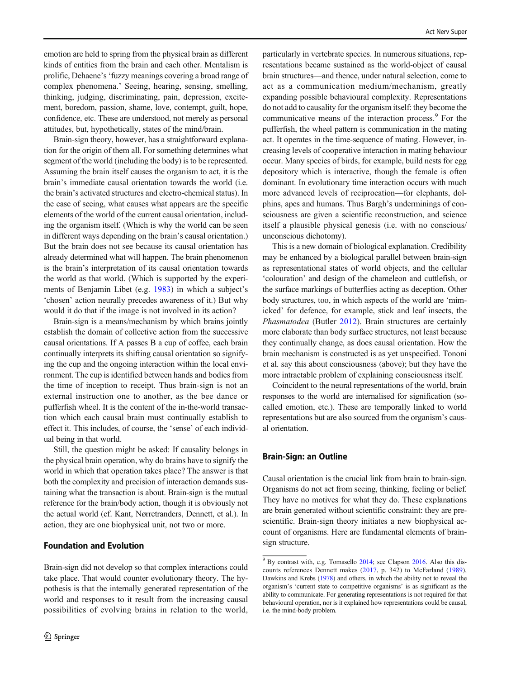<span id="page-8-0"></span>emotion are held to spring from the physical brain as different kinds of entities from the brain and each other. Mentalism is prolific, Dehaene's'fuzzy meanings covering a broad range of complex phenomena.' Seeing, hearing, sensing, smelling, thinking, judging, discriminating, pain, depression, excitement, boredom, passion, shame, love, contempt, guilt, hope, confidence, etc. These are understood, not merely as personal attitudes, but, hypothetically, states of the mind/brain.

Brain-sign theory, however, has a straightforward explanation for the origin of them all. For something determines what segment of the world (including the body) is to be represented. Assuming the brain itself causes the organism to act, it is the brain's immediate causal orientation towards the world (i.e. the brain's activated structures and electro-chemical status). In the case of seeing, what causes what appears are the specific elements of the world of the current causal orientation, including the organism itself. (Which is why the world can be seen in different ways depending on the brain's causal orientation.) But the brain does not see because its causal orientation has already determined what will happen. The brain phenomenon is the brain's interpretation of its causal orientation towards the world as that world. (Which is supported by the experiments of Benjamin Libet (e.g. [1983](#page-16-0)) in which a subject's 'chosen' action neurally precedes awareness of it.) But why would it do that if the image is not involved in its action?

Brain-sign is a means/mechanism by which brains jointly establish the domain of collective action from the successive causal orientations. If A passes B a cup of coffee, each brain continually interprets its shifting causal orientation so signifying the cup and the ongoing interaction within the local environment. The cup is identified between hands and bodies from the time of inception to receipt. Thus brain-sign is not an external instruction one to another, as the bee dance or pufferfish wheel. It is the content of the in-the-world transaction which each causal brain must continually establish to effect it. This includes, of course, the 'sense' of each individual being in that world.

Still, the question might be asked: If causality belongs in the physical brain operation, why do brains have to signify the world in which that operation takes place? The answer is that both the complexity and precision of interaction demands sustaining what the transaction is about. Brain-sign is the mutual reference for the brain/body action, though it is obviously not the actual world (cf. Kant, Nørretranders, Dennett, et al.). In action, they are one biophysical unit, not two or more.

# Foundation and Evolution

Brain-sign did not develop so that complex interactions could take place. That would counter evolutionary theory. The hypothesis is that the internally generated representation of the world and responses to it result from the increasing causal possibilities of evolving brains in relation to the world,

particularly in vertebrate species. In numerous situations, representations became sustained as the world-object of causal brain structures—and thence, under natural selection, come to act as a communication medium/mechanism, greatly expanding possible behavioural complexity. Representations do not add to causality for the organism itself: they become the communicative means of the interaction process.<sup>9</sup> For the pufferfish, the wheel pattern is communication in the mating act. It operates in the time-sequence of mating. However, increasing levels of cooperative interaction in mating behaviour occur. Many species of birds, for example, build nests for egg depository which is interactive, though the female is often dominant. In evolutionary time interaction occurs with much more advanced levels of reciprocation—for elephants, dolphins, apes and humans. Thus Bargh's underminings of consciousness are given a scientific reconstruction, and science itself a plausible physical genesis (i.e. with no conscious/ unconscious dichotomy).

This is a new domain of biological explanation. Credibility may be enhanced by a biological parallel between brain-sign as representational states of world objects, and the cellular 'colouration' and design of the chameleon and cuttlefish, or the surface markings of butterflies acting as deception. Other body structures, too, in which aspects of the world are 'mimicked' for defence, for example, stick and leaf insects, the Phasmatodea (Butler [2012](#page-15-0)). Brain structures are certainly more elaborate than body surface structures, not least because they continually change, as does causal orientation. How the brain mechanism is constructed is as yet unspecified. Tononi et al. say this about consciousness (above); but they have the more intractable problem of explaining consciousness itself.

Coincident to the neural representations of the world, brain responses to the world are internalised for signification (socalled emotion, etc.). These are temporally linked to world representations but are also sourced from the organism's causal orientation.

# Brain-Sign: an Outline

Causal orientation is the crucial link from brain to brain-sign. Organisms do not act from seeing, thinking, feeling or belief. They have no motives for what they do. These explanations are brain generated without scientific constraint: they are prescientific. Brain-sign theory initiates a new biophysical account of organisms. Here are fundamental elements of brainsign structure.

 $9$  By contrast with, e.g. Tomasello [2014;](#page-16-0) see Clapson [2016](#page-15-0). Also this discounts references Dennett makes ([2017](#page-15-0), p. 342) to McFarland [\(1989\)](#page-16-0), Dawkins and Krebs ([1978](#page-15-0)) and others, in which the ability not to reveal the organism's 'current state to competitive organisms' is as significant as the ability to communicate. For generating representations is not required for that behavioural operation, nor is it explained how representations could be causal, i.e. the mind-body problem.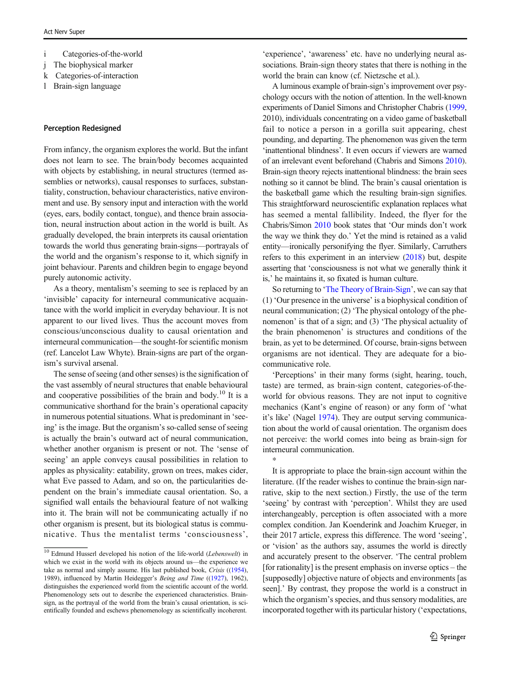- <span id="page-9-0"></span>i Categories-of-the-world
- j The biophysical marker
- k Categories-of-interaction
- l Brain-sign language

#### Perception Redesigned

From infancy, the organism explores the world. But the infant does not learn to see. The brain/body becomes acquainted with objects by establishing, in neural structures (termed assemblies or networks), causal responses to surfaces, substantiality, construction, behaviour characteristics, native environment and use. By sensory input and interaction with the world (eyes, ears, bodily contact, tongue), and thence brain association, neural instruction about action in the world is built. As gradually developed, the brain interprets its causal orientation towards the world thus generating brain-signs—portrayals of the world and the organism's response to it, which signify in joint behaviour. Parents and children begin to engage beyond purely autonomic activity.

As a theory, mentalism's seeming to see is replaced by an 'invisible' capacity for interneural communicative acquaintance with the world implicit in everyday behaviour. It is not apparent to our lived lives. Thus the account moves from conscious/unconscious duality to causal orientation and interneural communication—the sought-for scientific monism (ref. Lancelot Law Whyte). Brain-signs are part of the organism's survival arsenal.

The sense of seeing (and other senses) is the signification of the vast assembly of neural structures that enable behavioural and cooperative possibilities of the brain and body.<sup>10</sup> It is a communicative shorthand for the brain's operational capacity in numerous potential situations. What is predominant in 'seeing' is the image. But the organism's so-called sense of seeing is actually the brain's outward act of neural communication, whether another organism is present or not. The 'sense of seeing' an apple conveys causal possibilities in relation to apples as physicality: eatability, grown on trees, makes cider, what Eve passed to Adam, and so on, the particularities dependent on the brain's immediate causal orientation. So, a signified wall entails the behavioural feature of not walking into it. The brain will not be communicating actually if no other organism is present, but its biological status is communicative. Thus the mentalist terms 'consciousness',

'experience', 'awareness' etc. have no underlying neural associations. Brain-sign theory states that there is nothing in the world the brain can know (cf. Nietzsche et al.).

A luminous example of brain-sign's improvement over psychology occurs with the notion of attention. In the well-known experiments of Daniel Simons and Christopher Chabris ([1999,](#page-16-0) 2010), individuals concentrating on a video game of basketball fail to notice a person in a gorilla suit appearing, chest pounding, and departing. The phenomenon was given the term 'inattentional blindness'. It even occurs if viewers are warned of an irrelevant event beforehand (Chabris and Simons [2010\)](#page-15-0). Brain-sign theory rejects inattentional blindness: the brain sees nothing so it cannot be blind. The brain's causal orientation is the basketball game which the resulting brain-sign signifies. This straightforward neuroscientific explanation replaces what has seemed a mental fallibility. Indeed, the flyer for the Chabris/Simon [2010](#page-15-0) book states that 'Our minds don't work the way we think they do.' Yet the mind is retained as a valid entity—ironically personifying the flyer. Similarly, Carruthers refers to this experiment in an interview ([2018](#page-15-0)) but, despite asserting that 'consciousness is not what we generally think it is,' he maintains it, so fixated is human culture.

So returning to '[The Theory of Brain-Sign](#page-7-0)', we can say that (1) 'Our presence in the universe' is a biophysical condition of neural communication; (2) 'The physical ontology of the phenomenon' is that of a sign; and (3) 'The physical actuality of the brain phenomenon' is structures and conditions of the brain, as yet to be determined. Of course, brain-signs between organisms are not identical. They are adequate for a biocommunicative role.

'Perceptions' in their many forms (sight, hearing, touch, taste) are termed, as brain-sign content, categories-of-theworld for obvious reasons. They are not input to cognitive mechanics (Kant's engine of reason) or any form of 'what it's like' (Nagel [1974](#page-16-0)). They are output serving communication about the world of causal orientation. The organism does not perceive: the world comes into being as brain-sign for interneural communication.

\*

It is appropriate to place the brain-sign account within the literature. (If the reader wishes to continue the brain-sign narrative, skip to the next section.) Firstly, the use of the term 'seeing' by contrast with 'perception'. Whilst they are used interchangeably, perception is often associated with a more complex condition. Jan Koenderink and Joachim Krueger, in their 2017 article, express this difference. The word 'seeing', or 'vision' as the authors say, assumes the world is directly and accurately present to the observer. 'The central problem [for rationality] is the present emphasis on inverse optics – the [supposedly] objective nature of objects and environments [as seen].' By contrast, they propose the world is a construct in which the organism's species, and thus sensory modalities, are incorporated together with its particular history ('expectations,

 $\frac{10}{10}$  Edmund Husserl developed his notion of the life-world (Lebenswelt) in which we exist in the world with its objects around us—the experience we take as normal and simply assume. His last published book, Crisis ([\(1954\)](#page-15-0), 1989), influenced by Martin Heidegger's Being and Time (([1927](#page-15-0)), 1962), distinguishes the experienced world from the scientific account of the world. Phenomenology sets out to describe the experienced characteristics. Brainsign, as the portrayal of the world from the brain's causal orientation, is scientifically founded and eschews phenomenology as scientifically incoherent.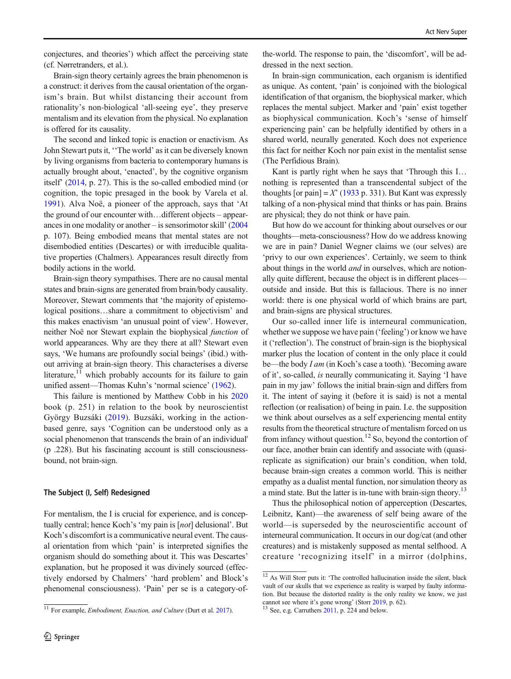conjectures, and theories') which affect the perceiving state (cf. Nørretranders, et al.).

Brain-sign theory certainly agrees the brain phenomenon is a construct: it derives from the causal orientation of the organism's brain. But whilst distancing their account from rationality's non-biological 'all-seeing eye', they preserve mentalism and its elevation from the physical. No explanation is offered for its causality.

The second and linked topic is enaction or enactivism. As John Stewart puts it, ''The world' as it can be diversely known by living organisms from bacteria to contemporary humans is actually brought about, 'enacted', by the cognitive organism itself' [\(2014,](#page-16-0) p. 27). This is the so-called embodied mind (or cognition, the topic presaged in the book by Varela et al. [1991\)](#page-16-0). Alva Noё, a pioneer of the approach, says that 'At the ground of our encounter with…different objects – appearances in one modality or another – is sensorimotor skill' [\(2004](#page-16-0) p. 107). Being embodied means that mental states are not disembodied entities (Descartes) or with irreducible qualitative properties (Chalmers). Appearances result directly from bodily actions in the world.

Brain-sign theory sympathises. There are no causal mental states and brain-signs are generated from brain/body causality. Moreover, Stewart comments that 'the majority of epistemological positions…share a commitment to objectivism' and this makes enactivism 'an unusual point of view'. However, neither Noё nor Stewart explain the biophysical function of world appearances. Why are they there at all? Stewart even says, 'We humans are profoundly social beings' (ibid.) without arriving at brain-sign theory. This characterises a diverse literature, $11$  which probably accounts for its failure to gain unified assent—Thomas Kuhn's 'normal science' [\(1962\)](#page-15-0).

This failure is mentioned by Matthew Cobb in his [2020](#page-15-0) book (p. 251) in relation to the book by neuroscientist Gyӧrgy Buzsáki ([2019](#page-15-0)). Buzsáki, working in the actionbased genre, says 'Cognition can be understood only as a social phenomenon that transcends the brain of an individual' (p .228). But his fascinating account is still consciousnessbound, not brain-sign.

#### The Subject (I, Self) Redesigned

For mentalism, the I is crucial for experience, and is conceptually central; hence Koch's 'my pain is [not] delusional'. But Koch's discomfort is a communicative neural event. The causal orientation from which 'pain' is interpreted signifies the organism should do something about it. This was Descartes' explanation, but he proposed it was divinely sourced (effectively endorsed by Chalmers' 'hard problem' and Block's phenomenal consciousness). 'Pain' per se is a category-of-

the-world. The response to pain, the 'discomfort', will be addressed in the next section.

In brain-sign communication, each organism is identified as unique. As content, 'pain' is conjoined with the biological identification of that organism, the biophysical marker, which replaces the mental subject. Marker and 'pain' exist together as biophysical communication. Koch's 'sense of himself experiencing pain' can be helpfully identified by others in a shared world, neurally generated. Koch does not experience this fact for neither Koch nor pain exist in the mentalist sense (The Perfidious Brain).

Kant is partly right when he says that 'Through this I… nothing is represented than a transcendental subject of the thoughts [or pain] =  $X'$  [\(1933](#page-15-0) p. 331). But Kant was expressly talking of a non-physical mind that thinks or has pain. Brains are physical; they do not think or have pain.

But how do we account for thinking about ourselves or our thoughts—meta-consciousness? How do we address knowing we are in pain? Daniel Wegner claims we (our selves) are 'privy to our own experiences'. Certainly, we seem to think about things in the world and in ourselves, which are notionally quite different, because the object is in different places outside and inside. But this is fallacious. There is no inner world: there is one physical world of which brains are part, and brain-signs are physical structures.

Our so-called inner life is interneural communication, whether we suppose we have pain ('feeling') or know we have it ('reflection'). The construct of brain-sign is the biophysical marker plus the location of content in the only place it could be—the body  $I$  am (in Koch's case a tooth). 'Becoming aware of it', so-called, is neurally communicating it. Saying 'I have pain in my jaw' follows the initial brain-sign and differs from it. The intent of saying it (before it is said) is not a mental reflection (or realisation) of being in pain. I.e. the supposition we think about ourselves as a self experiencing mental entity results from the theoretical structure of mentalism forced on us from infancy without question.<sup>12</sup> So, beyond the contortion of our face, another brain can identify and associate with (quasireplicate as signification) our brain's condition, when told, because brain-sign creates a common world. This is neither empathy as a dualist mental function, nor simulation theory as a mind state. But the latter is in-tune with brain-sign theory.<sup>13</sup>

Thus the philosophical notion of apperception (Descartes, Leibnitz, Kant)—the awareness of self being aware of the world—is superseded by the neuroscientific account of interneural communication. It occurs in our dog/cat (and other creatures) and is mistakenly supposed as mental selfhood. A creature 'recognizing itself' in a mirror (dolphins,

<sup>&</sup>lt;sup>11</sup> For example, *Embodiment*, *Enaction*, *and Culture* (Durt et al. [2017](#page-15-0)).

<sup>&</sup>lt;sup>12</sup> As Will Storr puts it: 'The controlled hallucination inside the silent, black vault of our skulls that we experience as reality is warped by faulty information. But because the distorted reality is the only reality we know, we just cannot see where it's gone wrong' (Storr [2019,](#page-16-0) p. 62). <sup>13</sup> See, e.g. Carruthers [2011,](#page-15-0) p. 224 and below.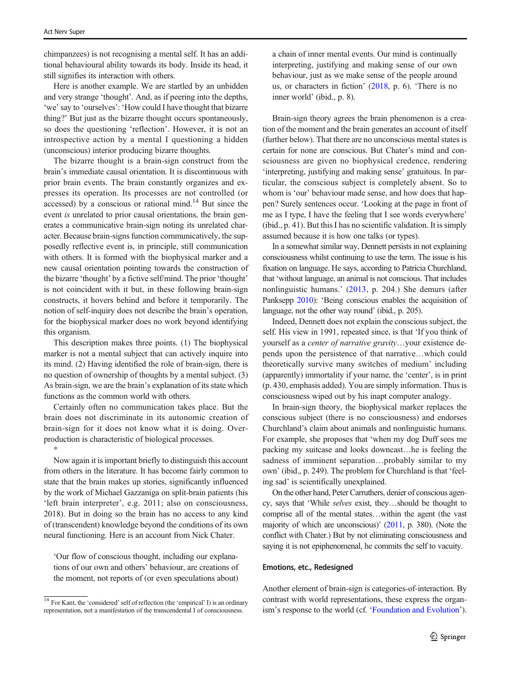chimpanzees) is not recognising a mental self. It has an additional behavioural ability towards its body. Inside its head, it still signifies its interaction with others.

Here is another example. We are startled by an unbidden and very strange 'thought'. And, as if peering into the depths, 'we' say to 'ourselves': 'How could I have thought that bizarre thing?' But just as the bizarre thought occurs spontaneously, so does the questioning 'reflection'. However, it is not an introspective action by a mental I questioning a hidden (unconscious) interior producing bizarre thoughts.

The bizarre thought is a brain-sign construct from the brain's immediate causal orientation. It is discontinuous with prior brain events. The brain constantly organizes and expresses its operation. Its processes are not controlled (or accessed) by a conscious or rational mind.<sup>14</sup> But since the event is unrelated to prior causal orientations, the brain generates a communicative brain-sign noting its unrelated character. Because brain-signs function communicatively, the supposedly reflective event is, in principle, still communication with others. It is formed with the biophysical marker and a new causal orientation pointing towards the construction of the bizarre 'thought' by a fictive self/mind. The prior 'thought' is not coincident with it but, in these following brain-sign constructs, it hovers behind and before it temporarily. The notion of self-inquiry does not describe the brain's operation, for the biophysical marker does no work beyond identifying this organism.

This description makes three points. (1) The biophysical marker is not a mental subject that can actively inquire into its mind. (2) Having identified the role of brain-sign, there is no question of ownership of thoughts by a mental subject. (3) As brain-sign, we are the brain's explanation of its state which functions as the common world with others.

Certainly often no communication takes place. But the brain does not discriminate in its autonomic creation of brain-sign for it does not know what it is doing. Overproduction is characteristic of biological processes.

\* Now again it is important briefly to distinguish this account from others in the literature. It has become fairly common to state that the brain makes up stories, significantly influenced by the work of Michael Gazzaniga on split-brain patients (his 'left brain interpreter', e.g. 2011; also on consciousness, 2018). But in doing so the brain has no access to any kind of (transcendent) knowledge beyond the conditions of its own neural functioning. Here is an account from Nick Chater.

'Our flow of conscious thought, including our explanations of our own and others' behaviour, are creations of the moment, not reports of (or even speculations about)

a chain of inner mental events. Our mind is continually interpreting, justifying and making sense of our own behaviour, just as we make sense of the people around us, or characters in fiction' ([2018](#page-15-0), p. 6). 'There is no inner world' (ibid., p. 8).

Brain-sign theory agrees the brain phenomenon is a creation of the moment and the brain generates an account of itself (further below). That there are no unconscious mental states is certain for none are conscious. But Chater's mind and consciousness are given no biophysical credence, rendering 'interpreting, justifying and making sense' gratuitous. In particular, the conscious subject is completely absent. So to whom is 'our' behaviour made sense, and how does that happen? Surely sentences occur. 'Looking at the page in front of me as I type, I have the feeling that I see words everywhere' (ibid., p. 41). But this I has no scientific validation. It is simply assumed because it is how one talks (or types).

In a somewhat similar way, Dennett persists in not explaining consciousness whilst continuing to use the term. The issue is his fixation on language. He says, according to Patricia Churchland, that 'without language, an animal is not conscious. That includes nonlinguistic humans.' ([2013](#page-15-0), p. 204.) She demurs (after Panksepp [2010](#page-16-0)): 'Being conscious enables the acquisition of language, not the other way round' (ibid., p. 205).

Indeed, Dennett does not explain the conscious subject, the self. His view in 1991, repeated since, is that 'If you think of yourself as a center of narrative gravity…your existence depends upon the persistence of that narrative…which could theoretically survive many switches of medium' including (apparently) immortality if your name, the 'center', is in print (p. 430, emphasis added). You are simply information. Thus is consciousness wiped out by his inapt computer analogy.

In brain-sign theory, the biophysical marker replaces the conscious subject (there is no consciousness) and endorses Churchland's claim about animals and nonlinguistic humans. For example, she proposes that 'when my dog Duff sees me packing my suitcase and looks downcast…he is feeling the sadness of imminent separation…probably similar to my own' (ibid., p. 249). The problem for Churchland is that 'feeling sad' is scientifically unexplained.

On the other hand, Peter Carruthers, denier of conscious agency, says that 'While selves exist, they…should be thought to comprise all of the mental states…within the agent (the vast majority of which are unconscious)' ([2011](#page-15-0), p. 380). (Note the conflict with Chater.) But by not eliminating consciousness and saying it is not epiphenomenal, he commits the self to vacuity.

#### Emotions, etc., Redesigned

Another element of brain-sign is categories-of-interaction. By contrast with world representations, these express the organism's response to the world (cf. '[Foundation and Evolution](#page-8-0)').

 $\frac{14}{14}$  For Kant, the 'considered' self of reflection (the 'empirical' I) is an ordinary representation, not a manifestation of the transcendental I of consciousness.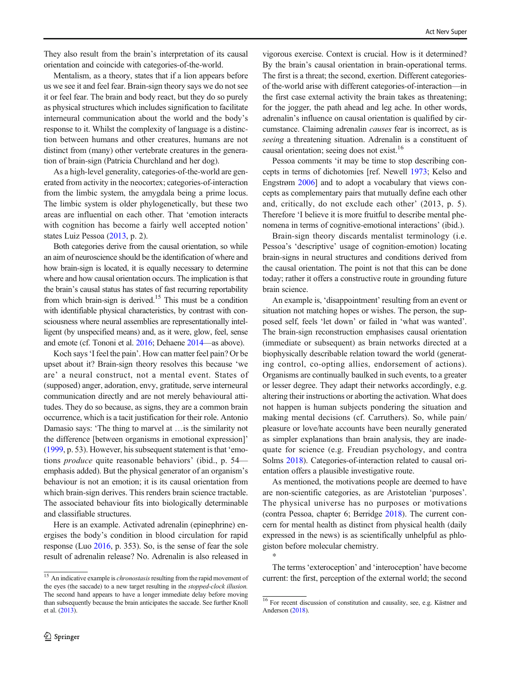They also result from the brain's interpretation of its causal orientation and coincide with categories-of-the-world.

Mentalism, as a theory, states that if a lion appears before us we see it and feel fear. Brain-sign theory says we do not see it or feel fear. The brain and body react, but they do so purely as physical structures which includes signification to facilitate interneural communication about the world and the body's response to it. Whilst the complexity of language is a distinction between humans and other creatures, humans are not distinct from (many) other vertebrate creatures in the generation of brain-sign (Patricia Churchland and her dog).

As a high-level generality, categories-of-the-world are generated from activity in the neocortex; categories-of-interaction from the limbic system, the amygdala being a prime locus. The limbic system is older phylogenetically, but these two areas are influential on each other. That 'emotion interacts with cognition has become a fairly well accepted notion' states Luiz Pessoa ([2013](#page-16-0), p. 2).

Both categories derive from the causal orientation, so while an aim of neuroscience should be the identification of where and how brain-sign is located, it is equally necessary to determine where and how causal orientation occurs. The implication is that the brain's causal status has states of fast recurring reportability from which brain-sign is derived.<sup>15</sup> This must be a condition with identifiable physical characteristics, by contrast with consciousness where neural assemblies are representationally intelligent (by unspecified means) and, as it were, glow, feel, sense and emote (cf. Tononi et al. [2016;](#page-16-0) Dehaene [2014](#page-15-0)—as above).

Koch says'I feel the pain'. How can matter feel pain? Or be upset about it? Brain-sign theory resolves this because 'we are' a neural construct, not a mental event. States of (supposed) anger, adoration, envy, gratitude, serve interneural communication directly and are not merely behavioural attitudes. They do so because, as signs, they are a common brain occurrence, which is a tacit justification for their role. Antonio Damasio says: 'The thing to marvel at …is the similarity not the difference [between organisms in emotional expression]' [\(1999,](#page-15-0) p. 53). However, his subsequent statement is that 'emotions produce quite reasonable behaviors' (ibid., p. 54 emphasis added). But the physical generator of an organism's behaviour is not an emotion; it is its causal orientation from which brain-sign derives. This renders brain science tractable. The associated behaviour fits into biologically determinable and classifiable structures.

Here is an example. Activated adrenalin (epinephrine) energises the body's condition in blood circulation for rapid response (Luo [2016,](#page-16-0) p. 353). So, is the sense of fear the sole result of adrenalin release? No. Adrenalin is also released in

vigorous exercise. Context is crucial. How is it determined? By the brain's causal orientation in brain-operational terms. The first is a threat; the second, exertion. Different categoriesof the-world arise with different categories-of-interaction—in the first case external activity the brain takes as threatening; for the jogger, the path ahead and leg ache. In other words, adrenalin's influence on causal orientation is qualified by circumstance. Claiming adrenalin causes fear is incorrect, as is seeing a threatening situation. Adrenalin is a constituent of causal orientation; seeing does not exist.<sup>16</sup>

Pessoa comments 'it may be time to stop describing concepts in terms of dichotomies [ref. Newell [1973;](#page-16-0) Kelso and Engstrøm [2006](#page-15-0)] and to adopt a vocabulary that views concepts as complementary pairs that mutually define each other and, critically, do not exclude each other' (2013, p. 5). Therefore 'I believe it is more fruitful to describe mental phenomena in terms of cognitive-emotional interactions' (ibid.).

Brain-sign theory discards mentalist terminology (i.e. Pessoa's 'descriptive' usage of cognition-emotion) locating brain-signs in neural structures and conditions derived from the causal orientation. The point is not that this can be done today; rather it offers a constructive route in grounding future brain science.

An example is, 'disappointment' resulting from an event or situation not matching hopes or wishes. The person, the supposed self, feels 'let down' or failed in 'what was wanted'. The brain-sign reconstruction emphasises causal orientation (immediate or subsequent) as brain networks directed at a biophysically describable relation toward the world (generating control, co-opting allies, endorsement of actions). Organisms are continually baulked in such events, to a greater or lesser degree. They adapt their networks accordingly, e.g. altering their instructions or aborting the activation. What does not happen is human subjects pondering the situation and making mental decisions (cf. Carruthers). So, while pain/ pleasure or love/hate accounts have been neurally generated as simpler explanations than brain analysis, they are inadequate for science (e.g. Freudian psychology, and contra Solms [2018](#page-16-0)). Categories-of-interaction related to causal orientation offers a plausible investigative route.

As mentioned, the motivations people are deemed to have are non-scientific categories, as are Aristotelian 'purposes'. The physical universe has no purposes or motivations (contra Pessoa, chapter 6; Berridge [2018\)](#page-15-0). The current concern for mental health as distinct from physical health (daily expressed in the news) is as scientifically unhelpful as phlogiston before molecular chemistry.

The terms'exteroception' and 'interoception' have become <sup>15</sup> An indicative example is *chronostasis* resulting from the rapid movement of current: the first, perception of the external world; the second

the eyes (the saccade) to a new target resulting in the stopped-clock illusion. The second hand appears to have a longer immediate delay before moving than subsequently because the brain anticipates the saccade. See further Knoll et al. ([2013](#page-15-0)).

<sup>\*</sup>

<sup>16</sup> For recent discussion of constitution and causality, see, e.g. Kästner and Anderson ([2018](#page-15-0)).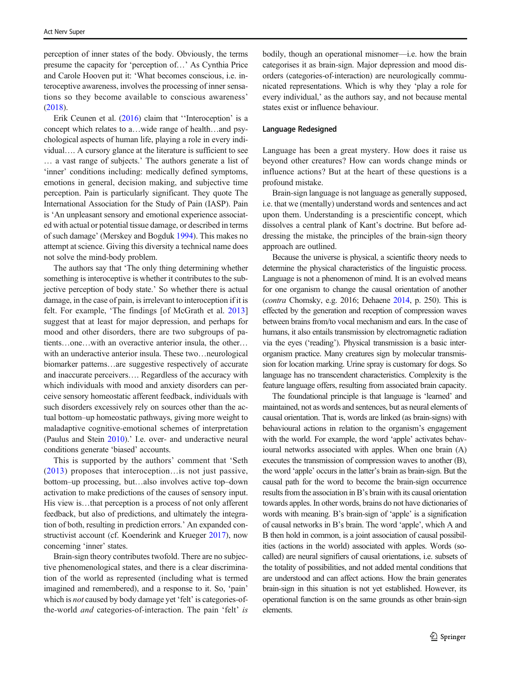perception of inner states of the body. Obviously, the terms presume the capacity for 'perception of…' As Cynthia Price and Carole Hooven put it: 'What becomes conscious, i.e. interoceptive awareness, involves the processing of inner sensations so they become available to conscious awareness' [\(2018\)](#page-16-0).

Erik Ceunen et al. ([2016](#page-15-0)) claim that ''Interoception' is a concept which relates to a…wide range of health…and psychological aspects of human life, playing a role in every individual…. A cursory glance at the literature is sufficient to see … a vast range of subjects.' The authors generate a list of 'inner' conditions including: medically defined symptoms, emotions in general, decision making, and subjective time perception. Pain is particularly significant. They quote The International Association for the Study of Pain (IASP). Pain is 'An unpleasant sensory and emotional experience associated with actual or potential tissue damage, or described in terms of such damage' (Merskey and Bogduk [1994](#page-16-0)). This makes no attempt at science. Giving this diversity a technical name does not solve the mind-body problem.

The authors say that 'The only thing determining whether something is interoceptive is whether it contributes to the subjective perception of body state.' So whether there is actual damage, in the case of pain, is irrelevant to interoception if it is felt. For example, 'The findings [of McGrath et al. [2013\]](#page-16-0) suggest that at least for major depression, and perhaps for mood and other disorders, there are two subgroups of patients…one…with an overactive anterior insula, the other… with an underactive anterior insula. These two…neurological biomarker patterns…are suggestive respectively of accurate and inaccurate perceivers…. Regardless of the accuracy with which individuals with mood and anxiety disorders can perceive sensory homeostatic afferent feedback, individuals with such disorders excessively rely on sources other than the actual bottom–up homeostatic pathways, giving more weight to maladaptive cognitive-emotional schemes of interpretation (Paulus and Stein [2010](#page-16-0)).' I.e. over- and underactive neural conditions generate 'biased' accounts.

This is supported by the authors' comment that 'Seth [\(2013](#page-16-0)) proposes that interoception…is not just passive, bottom–up processing, but…also involves active top–down activation to make predictions of the causes of sensory input. His view is…that perception is a process of not only afferent feedback, but also of predictions, and ultimately the integration of both, resulting in prediction errors.' An expanded constructivist account (cf. Koenderink and Krueger [2017](#page-15-0)), now concerning 'inner' states.

Brain-sign theory contributes twofold. There are no subjective phenomenological states, and there is a clear discrimination of the world as represented (including what is termed imagined and remembered), and a response to it. So, 'pain' which is *not* caused by body damage yet 'felt' is categories-ofthe-world and categories-of-interaction. The pain 'felt' is bodily, though an operational misnomer—i.e. how the brain categorises it as brain-sign. Major depression and mood disorders (categories-of-interaction) are neurologically communicated representations. Which is why they 'play a role for every individual,' as the authors say, and not because mental states exist or influence behaviour.

#### Language Redesigned

Language has been a great mystery. How does it raise us beyond other creatures? How can words change minds or influence actions? But at the heart of these questions is a profound mistake.

Brain-sign language is not language as generally supposed, i.e. that we (mentally) understand words and sentences and act upon them. Understanding is a prescientific concept, which dissolves a central plank of Kant's doctrine. But before addressing the mistake, the principles of the brain-sign theory approach are outlined.

Because the universe is physical, a scientific theory needs to determine the physical characteristics of the linguistic process. Language is not a phenomenon of mind. It is an evolved means for one organism to change the causal orientation of another (contra Chomsky, e.g. 2016; Dehaene [2014,](#page-15-0) p. 250). This is effected by the generation and reception of compression waves between brains from/to vocal mechanism and ears. In the case of humans, it also entails transmission by electromagnetic radiation via the eyes ('reading'). Physical transmission is a basic interorganism practice. Many creatures sign by molecular transmission for location marking. Urine spray is customary for dogs. So language has no transcendent characteristics. Complexity is the feature language offers, resulting from associated brain capacity.

The foundational principle is that language is 'learned' and maintained, not as words and sentences, but as neural elements of causal orientation. That is, words are linked (as brain-signs) with behavioural actions in relation to the organism's engagement with the world. For example, the word 'apple' activates behavioural networks associated with apples. When one brain (A) executes the transmission of compression waves to another (B), the word 'apple' occurs in the latter's brain as brain-sign. But the causal path for the word to become the brain-sign occurrence results from the association in B's brain with its causal orientation towards apples. In other words, brains do not have dictionaries of words with meaning. B's brain-sign of 'apple' is a signification of causal networks in B's brain. The word 'apple', which A and B then hold in common, is a joint association of causal possibilities (actions in the world) associated with apples. Words (socalled) are neural signifiers of causal orientations, i.e. subsets of the totality of possibilities, and not added mental conditions that are understood and can affect actions. How the brain generates brain-sign in this situation is not yet established. However, its operational function is on the same grounds as other brain-sign elements.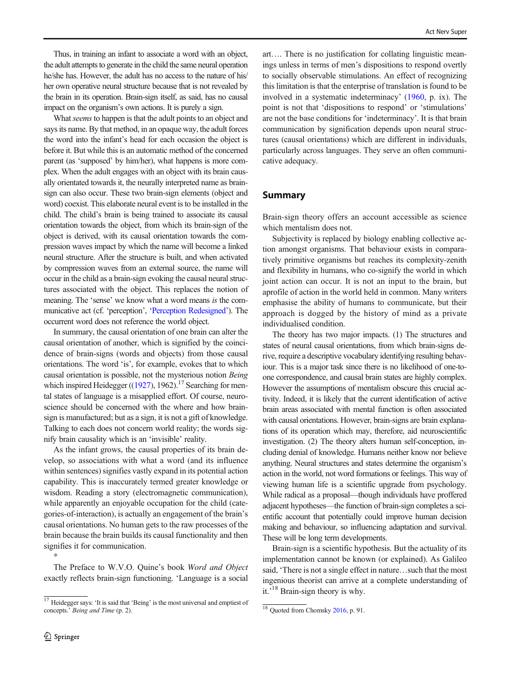Thus, in training an infant to associate a word with an object, the adult attempts to generate in the child the same neural operation he/she has. However, the adult has no access to the nature of his/ her own operative neural structure because that is not revealed by the brain in its operation. Brain-sign itself, as said, has no causal impact on the organism's own actions. It is purely a sign.

What seems to happen is that the adult points to an object and says its name. By that method, in an opaque way, the adult forces the word into the infant's head for each occasion the object is before it. But while this is an automatic method of the concerned parent (as 'supposed' by him/her), what happens is more complex. When the adult engages with an object with its brain causally orientated towards it, the neurally interpreted name as brainsign can also occur. These two brain-sign elements (object and word) coexist. This elaborate neural event is to be installed in the child. The child's brain is being trained to associate its causal orientation towards the object, from which its brain-sign of the object is derived, with its causal orientation towards the compression waves impact by which the name will become a linked neural structure. After the structure is built, and when activated by compression waves from an external source, the name will occur in the child as a brain-sign evoking the causal neural structures associated with the object. This replaces the notion of meaning. The 'sense' we know what a word means is the communicative act (cf. 'perception', '[Perception Redesigned](#page-9-0)'). The occurrent word does not reference the world object.

In summary, the causal orientation of one brain can alter the causal orientation of another, which is signified by the coincidence of brain-signs (words and objects) from those causal orientations. The word 'is', for example, evokes that to which causal orientation is possible, not the mysterious notion Being which inspired Heidegger ([\(1927\)](#page-15-0), 1962).<sup>17</sup> Searching for mental states of language is a misapplied effort. Of course, neuroscience should be concerned with the where and how brainsign is manufactured; but as a sign, it is not a gift of knowledge. Talking to each does not concern world reality; the words signify brain causality which is an 'invisible' reality.

As the infant grows, the causal properties of its brain develop, so associations with what a word (and its influence within sentences) signifies vastly expand in its potential action capability. This is inaccurately termed greater knowledge or wisdom. Reading a story (electromagnetic communication), while apparently an enjoyable occupation for the child (categories-of-interaction), is actually an engagement of the brain's causal orientations. No human gets to the raw processes of the brain because the brain builds its causal functionality and then signifies it for communication.

\*

The Preface to W.V.O. Quine's book Word and Object exactly reflects brain-sign functioning. 'Language is a social art…. There is no justification for collating linguistic meanings unless in terms of men's dispositions to respond overtly to socially observable stimulations. An effect of recognizing this limitation is that the enterprise of translation is found to be involved in a systematic indeterminacy' ([1960,](#page-16-0) p. ix). The point is not that 'dispositions to respond' or 'stimulations' are not the base conditions for 'indeterminacy'. It is that brain communication by signification depends upon neural structures (causal orientations) which are different in individuals, particularly across languages. They serve an often communicative adequacy.

# Summary

Brain-sign theory offers an account accessible as science which mentalism does not.

Subjectivity is replaced by biology enabling collective action amongst organisms. That behaviour exists in comparatively primitive organisms but reaches its complexity-zenith and flexibility in humans, who co-signify the world in which joint action can occur. It is not an input to the brain, but aprofile of action in the world held in common. Many writers emphasise the ability of humans to communicate, but their approach is dogged by the history of mind as a private individualised condition.

The theory has two major impacts. (1) The structures and states of neural causal orientations, from which brain-signs derive, require a descriptive vocabulary identifying resulting behaviour. This is a major task since there is no likelihood of one-toone correspondence, and causal brain states are highly complex. However the assumptions of mentalism obscure this crucial activity. Indeed, it is likely that the current identification of active brain areas associated with mental function is often associated with causal orientations. However, brain-signs are brain explanations of its operation which may, therefore, aid neuroscientific investigation. (2) The theory alters human self-conception, including denial of knowledge. Humans neither know nor believe anything. Neural structures and states determine the organism's action in the world, not word formations or feelings. This way of viewing human life is a scientific upgrade from psychology. While radical as a proposal—though individuals have proffered adjacent hypotheses—the function of brain-sign completes a scientific account that potentially could improve human decision making and behaviour, so influencing adaptation and survival. These will be long term developments.

Brain-sign is a scientific hypothesis. But the actuality of its implementation cannot be known (or explained). As Galileo said, 'There is not a single effect in nature…such that the most ingenious theorist can arrive at a complete understanding of it.'<sup>18</sup> Brain-sign theory is why.

 $17$  Heidegger says: 'It is said that 'Being' is the most universal and emptiest of concepts.' Being and Time (p. 2).  $\frac{18}{18}$  Quoted from Chomsky [2016,](#page-15-0) p. 91.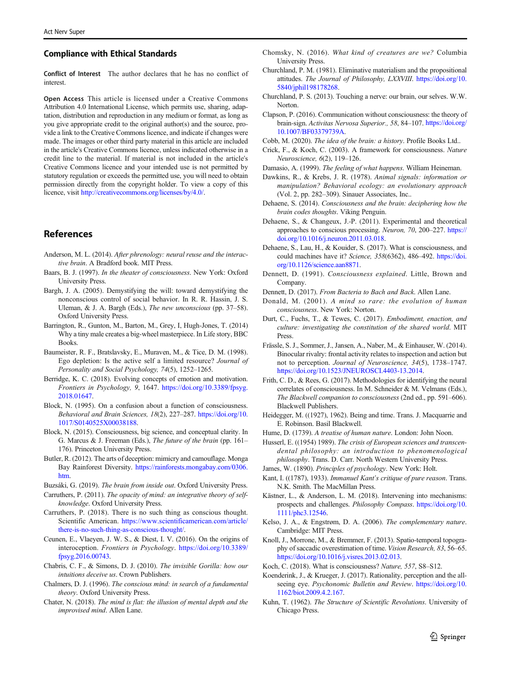#### <span id="page-15-0"></span>Compliance with Ethical Standards

Conflict of Interest The author declares that he has no conflict of interest.

Open Access This article is licensed under a Creative Commons Attribution 4.0 International License, which permits use, sharing, adaptation, distribution and reproduction in any medium or format, as long as you give appropriate credit to the original author(s) and the source, provide a link to the Creative Commons licence, and indicate if changes were made. The images or other third party material in this article are included in the article's Creative Commons licence, unless indicated otherwise in a credit line to the material. If material is not included in the article's Creative Commons licence and your intended use is not permitted by statutory regulation or exceeds the permitted use, you will need to obtain permission directly from the copyright holder. To view a copy of this licence, visit [http://creativecommons.org/licenses/by/4.0/](https://doi.org/).

# **References**

- Anderson, M. L. (2014). After phrenology: neural reuse and the interactive brain. A Bradford book. MIT Press.
- Baars, B. J. (1997). In the theater of consciousness. New York: Oxford University Press.
- Bargh, J. A. (2005). Demystifying the will: toward demystifying the nonconscious control of social behavior. In R. R. Hassin, J. S. Uleman, & J. A. Bargh (Eds.), The new unconscious (pp. 37–58). Oxford University Press.
- Barrington, R., Gunton, M., Barton, M., Grey, I, Hugh-Jones, T. (2014) Why a tiny male creates a big-wheel masterpiece. In Life story, BBC Books.
- Baumeister, R. F., Bratslavsky, E., Muraven, M., & Tice, D. M. (1998). Ego depletion: Is the active self a limited resource? Journal of Personality and Social Psychology, 74(5), 1252–1265.
- Berridge, K. C. (2018). Evolving concepts of emotion and motivation. Frontiers in Psychology, 9, 1647. [https://doi.org/10.3389/fpsyg.](https://doi.org/10.3389/fpsyg.2018.01647) [2018.01647](https://doi.org/10.3389/fpsyg.2018.01647).
- Block, N. (1995). On a confusion about a function of consciousness. Behavioral and Brain Sciences, 18(2), 227–287. [https://doi.org/10.](https://doi.org/10.1017/S0140525X00038188) [1017/S0140525X00038188](https://doi.org/10.1017/S0140525X00038188).
- Block, N. (2015). Consciousness, big science, and conceptual clarity. In G. Marcus & J. Freeman (Eds.), The future of the brain (pp. 161– 176). Princeton University Press.
- Butler, R. (2012). The arts of deception: mimicry and camouflage. Monga Bay Rainforest Diversity. [https://rainforests.mongabay.com/0306.](https://rainforests.mongabay.com/0306.htm) [htm.](https://rainforests.mongabay.com/0306.htm)
- Buzsáki, G. (2019). The brain from inside out. Oxford University Press.
- Carruthers, P. (2011). The opacity of mind: an integrative theory of selfknowledge. Oxford University Press.
- Carruthers, P. (2018). There is no such thing as conscious thought. Scientific American. [https://www.scientificamerican.com/article/](https://www.scientificamerican.com/article/thereso-uch-hingsonscious-hought/) [there-is-no-such-thing-as-conscious-thought/](https://www.scientificamerican.com/article/thereso-uch-hingsonscious-hought/).
- Ceunen, E., Vlaeyen, J. W. S., & Diest, I. V. (2016). On the origins of interoception. Frontiers in Psychology. [https://doi.org/10.3389/](https://doi.org/10.3389/fpsyg.2016.00743) [fpsyg.2016.00743](https://doi.org/10.3389/fpsyg.2016.00743).
- Chabris, C. F., & Simons, D. J. (2010). The invisible Gorilla: how our intuitions deceive us. Crown Publishers.
- Chalmers, D. J. (1996). The conscious mind: in search of a fundamental theory. Oxford University Press.
- Chater, N. (2018). The mind is flat: the illusion of mental depth and the improvised mind. Allen Lane.
- Chomsky, N. (2016). What kind of creatures are we? Columbia University Press.
- Churchland, P. M. (1981). Eliminative materialism and the propositional attitudes. The Journal of Philosophy, LXXVIII. [https://doi.org/10.](https://doi.org/10.5840/jphil198178268) [5840/jphil198178268.](https://doi.org/10.5840/jphil198178268)
- Churchland, P. S. (2013). Touching a nerve: our brain, our selves. W.W. Norton.
- Clapson, P. (2016). Communication without consciousness: the theory of brain-sign. Activitas Nervosa Superior., 58, 84-107. [https://doi.org/](https://doi.org/10.1007/BF03379739A) [10.1007/BF03379739A](https://doi.org/10.1007/BF03379739A).
- Cobb, M. (2020). The idea of the brain: a history. Profile Books Ltd..
- Crick, F., & Koch, C. (2003). A framework for consciousness. Nature Neuroscience, 6(2), 119–126.
- Damasio, A. (1999). The feeling of what happens. William Heineman.
- Dawkins, R., & Krebs, J. R. (1978). Animal signals: information or manipulation? Behavioral ecology: an evolutionary approach (Vol. 2, pp. 282–309). Sinauer Associates, Inc..
- Dehaene, S. (2014). Consciousness and the brain: deciphering how the brain codes thoughts. Viking Penguin.
- Dehaene, S., & Changeux, J.-P. (2011). Experimental and theoretical approaches to conscious processing. Neuron, 70, 200–227. [https://](https://doi.org/10.1016/j.neuron.2011.03.018) [doi.org/10.1016/j.neuron.2011.03.018.](https://doi.org/10.1016/j.neuron.2011.03.018)
- Dehaene, S., Lau, H., & Kouider, S. (2017). What is consciousness, and could machines have it? Science, 358(6362), 486–492. [https://doi.](https://doi.org/10.1126/science.aan8871) [org/10.1126/science.aan8871](https://doi.org/10.1126/science.aan8871).
- Dennett, D. (1991). Consciousness explained. Little, Brown and Company.
- Dennett, D. (2017). From Bacteria to Bach and Back. Allen Lane.
- Donald, M. (2001). A mind so rare: the evolution of human consciousness. New York: Norton.
- Durt, C., Fuchs, T., & Tewes, C. (2017). Embodiment, enaction, and culture: investigating the constitution of the shared world. MIT Press.
- Frässle, S. J., Sommer, J., Jansen, A., Naber, M., & Einhauser, W. (2014). Binocular rivalry: frontal activity relates to inspection and action but not to perception. Journal of Neuroscience, 34(5), 1738–1747. [https://doi.org/10.1523/JNEUROSCI.4403-13.2014.](https://doi.org/10.1523/JNEUROSCI.4403-13.2014)
- Frith, C. D., & Rees, G. (2017). Methodologies for identifying the neural correlates of consciousness. In M. Schneider & M. Velmans (Eds.), The Blackwell companion to consciousness (2nd ed., pp. 591–606). Blackwell Publishers.
- Heidegger, M. ((1927), 1962). Being and time. Trans. J. Macquarrie and E. Robinson. Basil Blackwell.
- Hume, D. (1739). A treatise of human nature. London: John Noon.
- Husserl, E. ((1954) 1989). The crisis of European sciences and transcendental philosophy: an introduction to phenomenological philosophy. Trans. D. Carr. North Western University Press.
- James, W. (1890). Principles of psychology. New York: Holt.
- Kant, I. ((1787), 1933). Immanuel Kant's critique of pure reason. Trans. N.K. Smith. The MacMillan Press.
- Kästner, L., & Anderson, L. M. (2018). Intervening into mechanisms: prospects and challenges. Philosophy Compass. [https://doi.org/10.](https://doi.org/10.1111/phc3.12546) [1111/phc3.12546.](https://doi.org/10.1111/phc3.12546)
- Kelso, J. A., & Engstrøm, D. A. (2006). The complementary nature. Cambridge: MIT Press.
- Knoll, J., Morrone, M., & Bremmer, F. (2013). Spatio-temporal topography of saccadic overestimation of time. Vision Research, 83, 56–65. <https://doi.org/10.1016/j.visres.2013.02.013>.
- Koch, C. (2018). What is consciousness? Nature, 557, S8–S12.
- Koenderink, J., & Krueger, J. (2017). Rationality, perception and the allseeing eye. Psychonomic Bulletin and Review. [https://doi.org/10.](https://doi.org/10.1162/biot.2009.4.2.167) [1162/biot.2009.4.2.167.](https://doi.org/10.1162/biot.2009.4.2.167)
- Kuhn, T. (1962). The Structure of Scientific Revolutions. University of Chicago Press.